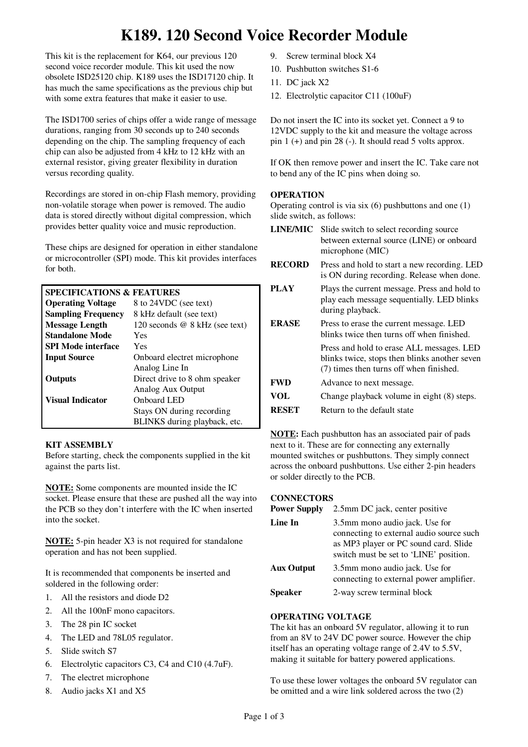# **K189. 120 Second Voice Recorder Module**

This kit is the replacement for K64, our previous 120 second voice recorder module. This kit used the now obsolete ISD25120 chip. K189 uses the ISD17120 chip. It has much the same specifications as the previous chip but with some extra features that make it easier to use.

The ISD1700 series of chips offer a wide range of message durations, ranging from 30 seconds up to 240 seconds depending on the chip. The sampling frequency of each chip can also be adjusted from 4 kHz to 12 kHz with an external resistor, giving greater flexibility in duration versus recording quality.

Recordings are stored in on-chip Flash memory, providing non-volatile storage when power is removed. The audio data is stored directly without digital compression, which provides better quality voice and music reproduction.

These chips are designed for operation in either standalone or microcontroller (SPI) mode. This kit provides interfaces for both.

| <b>SPECIFICATIONS &amp; FEATURES</b> |                                |
|--------------------------------------|--------------------------------|
| <b>Operating Voltage</b>             | 8 to 24VDC (see text)          |
| <b>Sampling Frequency</b>            | 8 kHz default (see text)       |
| <b>Message Length</b>                | 120 seconds @ 8 kHz (see text) |
| <b>Standalone Mode</b>               | Yes                            |
| <b>SPI Mode interface</b>            | Yes                            |
| <b>Input Source</b>                  | Onboard electret microphone    |
|                                      | Analog Line In                 |
| Outputs                              | Direct drive to 8 ohm speaker  |
|                                      | Analog Aux Output              |
| <b>Visual Indicator</b>              | Onboard LED                    |
|                                      | Stays ON during recording      |
|                                      | BLINKS during playback, etc.   |

### **KIT ASSEMBLY**

Before starting, check the components supplied in the kit against the parts list.

**NOTE:** Some components are mounted inside the IC socket. Please ensure that these are pushed all the way into the PCB so they don't interfere with the IC when inserted into the socket.

**NOTE:** 5-pin header X3 is not required for standalone operation and has not been supplied.

It is recommended that components be inserted and soldered in the following order:

- 1. All the resistors and diode D2
- 2. All the 100nF mono capacitors.
- 3. The 28 pin IC socket
- 4. The LED and 78L05 regulator.
- 5. Slide switch S7
- 6. Electrolytic capacitors C3, C4 and C10 (4.7uF).
- 7. The electret microphone
- 8. Audio jacks X1 and X5
- 9. Screw terminal block X4
- 10. Pushbutton switches S1-6
- 11. DC jack X2
- 12. Electrolytic capacitor C11 (100uF)

Do not insert the IC into its socket yet. Connect a 9 to 12VDC supply to the kit and measure the voltage across pin 1 (+) and pin 28 (-). It should read 5 volts approx.

If OK then remove power and insert the IC. Take care not to bend any of the IC pins when doing so.

# **OPERATION**

Operating control is via six (6) pushbuttons and one (1) slide switch, as follows:

- **LINE/MIC** Slide switch to select recording source between external source (LINE) or onboard microphone (MIC)
- **RECORD** Press and hold to start a new recording. LED is ON during recording. Release when done.
- **PLAY** Plays the current message. Press and hold to play each message sequentially. LED blinks during playback.
- **ERASE** Press to erase the current message. LED blinks twice then turns off when finished. Press and hold to erase ALL messages. LED blinks twice, stops then blinks another seven (7) times then turns off when finished. **FWD** Advance to next message.
- **VOL** Change playback volume in eight (8) steps.
- **RESET** Return to the default state

**NOTE:** Each pushbutton has an associated pair of pads next to it. These are for connecting any externally mounted switches or pushbuttons. They simply connect across the onboard pushbuttons. Use either 2-pin headers or solder directly to the PCB.

### **CONNECTORS**

| <b>Power Supply</b> | 2.5mm DC jack, center positive                                                                                                                                |
|---------------------|---------------------------------------------------------------------------------------------------------------------------------------------------------------|
| Line In             | 3.5mm mono audio jack. Use for<br>connecting to external audio source such<br>as MP3 player or PC sound card. Slide<br>switch must be set to 'LINE' position. |
| <b>Aux Output</b>   | 3.5mm mono audio jack. Use for<br>connecting to external power amplifier.                                                                                     |
| <b>Speaker</b>      | 2-way screw terminal block                                                                                                                                    |

# **OPERATING VOLTAGE**

The kit has an onboard 5V regulator, allowing it to run from an 8V to 24V DC power source. However the chip itself has an operating voltage range of 2.4V to 5.5V, making it suitable for battery powered applications.

To use these lower voltages the onboard 5V regulator can be omitted and a wire link soldered across the two (2)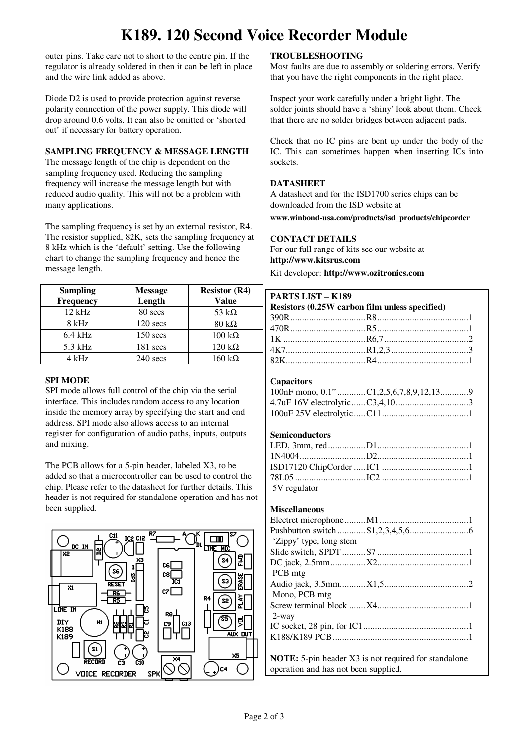# **K189. 120 Second Voice Recorder Module**

outer pins. Take care not to short to the centre pin. If the regulator is already soldered in then it can be left in place and the wire link added as above.

Diode D2 is used to provide protection against reverse polarity connection of the power supply. This diode will drop around 0.6 volts. It can also be omitted or 'shorted out' if necessary for battery operation.

## **SAMPLING FREQUENCY & MESSAGE LENGTH**

The message length of the chip is dependent on the sampling frequency used. Reducing the sampling frequency will increase the message length but with reduced audio quality. This will not be a problem with many applications.

The sampling frequency is set by an external resistor, R4. The resistor supplied, 82K, sets the sampling frequency at 8 kHz which is the 'default' setting. Use the following chart to change the sampling frequency and hence the message length.

| <b>Sampling</b>  | <b>Message</b> | <b>Resistor (R4)</b>  |
|------------------|----------------|-----------------------|
| <b>Frequency</b> | Length         | <b>Value</b>          |
| $12$ kHz         | 80 secs        | 53 k $\Omega$         |
| 8 kHz            | $120$ secs     | $80 \text{ k}\Omega$  |
| $6.4$ kHz        | $150$ secs     | $100 \text{ k}\Omega$ |
| $5.3$ kHz        | $181$ secs     | $120 \text{ k}\Omega$ |
| 4 kHz            | $240$ secs     | 160 kΩ                |

# **SPI MODE**

SPI mode allows full control of the chip via the serial interface. This includes random access to any location inside the memory array by specifying the start and end address. SPI mode also allows access to an internal register for configuration of audio paths, inputs, outputs and mixing.

The PCB allows for a 5-pin header, labeled X3, to be added so that a microcontroller can be used to control the chip. Please refer to the datasheet for further details. This header is not required for standalone operation and has not been supplied.



## **TROUBLESHOOTING**

Most faults are due to assembly or soldering errors. Verify that you have the right components in the right place.

Inspect your work carefully under a bright light. The solder joints should have a 'shiny' look about them. Check that there are no solder bridges between adjacent pads.

Check that no IC pins are bent up under the body of the IC. This can sometimes happen when inserting ICs into sockets.

#### **DATASHEET**

A datasheet and for the ISD1700 series chips can be downloaded from the ISD website at

**www.winbond-usa.com/products/isd\_products/chipcorder** 

### **CONTACT DETAILS**

For our full range of kits see our website at **http://www.kitsrus.com**

Kit developer: **http://www.ozitronics.com** 

| <b>PARTS LIST - K189</b>                                    |  |  |  |
|-------------------------------------------------------------|--|--|--|
| Resistors (0.25W carbon film unless specified)              |  |  |  |
|                                                             |  |  |  |
|                                                             |  |  |  |
|                                                             |  |  |  |
|                                                             |  |  |  |
|                                                             |  |  |  |
|                                                             |  |  |  |
| <b>Capacitors</b>                                           |  |  |  |
| 100nF mono, 0.1" C1,2,5,6,7,8,9,12,139                      |  |  |  |
|                                                             |  |  |  |
|                                                             |  |  |  |
|                                                             |  |  |  |
| <b>Semiconductors</b>                                       |  |  |  |
|                                                             |  |  |  |
|                                                             |  |  |  |
|                                                             |  |  |  |
|                                                             |  |  |  |
| 5V regulator                                                |  |  |  |
|                                                             |  |  |  |
| <b>Miscellaneous</b>                                        |  |  |  |
|                                                             |  |  |  |
|                                                             |  |  |  |
| 'Zippy' type, long stem                                     |  |  |  |
|                                                             |  |  |  |
|                                                             |  |  |  |
| PCB mtg                                                     |  |  |  |
|                                                             |  |  |  |
| Mono, PCB mtg                                               |  |  |  |
|                                                             |  |  |  |
| $2$ -way                                                    |  |  |  |
|                                                             |  |  |  |
|                                                             |  |  |  |
|                                                             |  |  |  |
| <b>NOTE:</b> 5-pin header X3 is not required for standalone |  |  |  |
| operation and has not been supplied.                        |  |  |  |